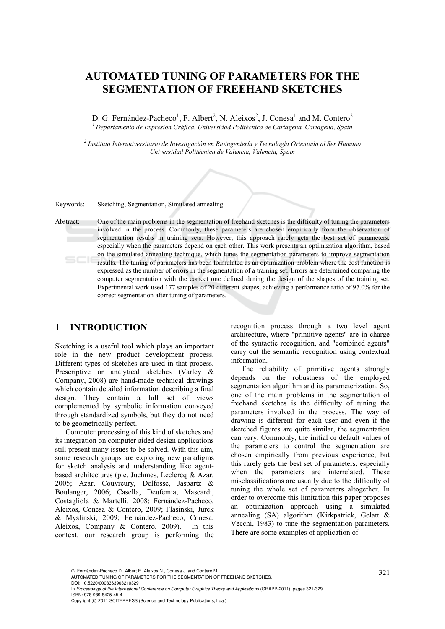# **AUTOMATED TUNING OF PARAMETERS FOR THE SEGMENTATION OF FREEHAND SKETCHES**

D. G. Fernández-Pacheco<sup>1</sup>, F. Albert<sup>2</sup>, N. Aleixos<sup>2</sup>, J. Conesa<sup>1</sup> and M. Contero<sup>2</sup> *1 Departamento de Expresión Gráfica, Universidad Politécnica de Cartagena, Cartagena, Spain* 

*2 Instituto Interuniversitario de Investigación en Bioingeniería y Tecnología Orientada al Ser Humano Universidad Politécnica de Valencia, Valencia, Spain* 

Keywords: Sketching, Segmentation, Simulated annealing.

Abstract: One of the main problems in the segmentation of freehand sketches is the difficulty of tuning the parameters involved in the process. Commonly, these parameters are chosen empirically from the observation of segmentation results in training sets. However, this approach rarely gets the best set of parameters, especially when the parameters depend on each other. This work presents an optimization algorithm, based on the simulated annealing technique, which tunes the segmentation parameters to improve segmentation results. The tuning of parameters has been formulated as an optimization problem where the cost function is expressed as the number of errors in the segmentation of a training set. Errors are determined comparing the computer segmentation with the correct one defined during the design of the shapes of the training set. Experimental work used 177 samples of 20 different shapes, achieving a performance ratio of 97.0% for the correct segmentation after tuning of parameters.

## **1 INTRODUCTION**

Sketching is a useful tool which plays an important role in the new product development process. Different types of sketches are used in that process. Prescriptive or analytical sketches (Varley & Company, 2008) are hand-made technical drawings which contain detailed information describing a final design. They contain a full set of views complemented by symbolic information conveyed through standardized symbols, but they do not need to be geometrically perfect.

Computer processing of this kind of sketches and its integration on computer aided design applications still present many issues to be solved. With this aim, some research groups are exploring new paradigms for sketch analysis and understanding like agentbased architectures (p.e. Juchmes, Leclercq & Azar, 2005; Azar, Couvreury, Delfosse, Jaspartz & Boulanger, 2006; Casella, Deufemia, Mascardi, Costagliola & Martelli, 2008; Fernández-Pacheco, Aleixos, Conesa & Contero, 2009; Flasinski, Jurek & Myslinski, 2009; Fernández-Pacheco, Conesa, Aleixos, Company & Contero, 2009). In this context, our research group is performing the

recognition process through a two level agent architecture, where "primitive agents" are in charge of the syntactic recognition, and "combined agents" carry out the semantic recognition using contextual information.

The reliability of primitive agents strongly depends on the robustness of the employed segmentation algorithm and its parameterization. So, one of the main problems in the segmentation of freehand sketches is the difficulty of tuning the parameters involved in the process. The way of drawing is different for each user and even if the sketched figures are quite similar, the segmentation can vary. Commonly, the initial or default values of the parameters to control the segmentation are chosen empirically from previous experience, but this rarely gets the best set of parameters, especially when the parameters are interrelated. These misclassifications are usually due to the difficulty of tuning the whole set of parameters altogether. In order to overcome this limitation this paper proposes an optimization approach using a simulated annealing (SA) algorithm (Kirkpatrick, Gelatt & Vecchi, 1983) to tune the segmentation parameters. There are some examples of application of

G. Fernández-Pacheco D., Albert F., Aleixos N., Conesa J. and Contero M..<br>AUTOMATED TUNING OF PARAMETERS FOR THE SEGMENTATION OF FREEHAND SKETCHES. DOI: 10.5220/0003363903210329

In *Proceedings of the International Conference on Computer Graphics Theory and Applications* (GRAPP-2011), pages 321-329 ISBN: 978-989-8425-45-4

Copyright © 2011 SCITEPRESS (Science and Technology Publications, Lda.)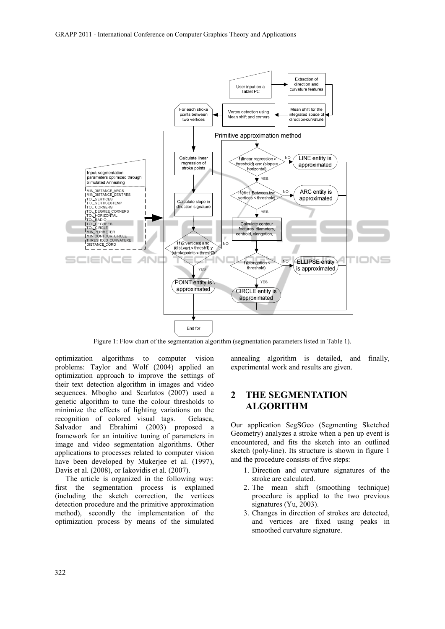

Figure 1: Flow chart of the segmentation algorithm (segmentation parameters listed in Table 1).

optimization algorithms to computer vision problems: Taylor and Wolf (2004) applied an optimization approach to improve the settings of their text detection algorithm in images and video sequences. Mbogho and Scarlatos (2007) used a genetic algorithm to tune the colour thresholds to minimize the effects of lighting variations on the recognition of colored visual tags. Gelasca, Salvador and Ebrahimi (2003) proposed a framework for an intuitive tuning of parameters in image and video segmentation algorithms. Other applications to processes related to computer vision have been developed by Mukerjee et al. (1997), Davis et al. (2008), or Iakovidis et al. (2007).

The article is organized in the following way: first the segmentation process is explained (including the sketch correction, the vertices detection procedure and the primitive approximation method), secondly the implementation of the optimization process by means of the simulated

annealing algorithm is detailed, and finally, experimental work and results are given.

### **2 THE SEGMENTATION ALGORITHM**

Our application SegSGeo (Segmenting Sketched Geometry) analyzes a stroke when a pen up event is encountered, and fits the sketch into an outlined sketch (poly-line). Its structure is shown in figure 1 and the procedure consists of five steps:

- 1. Direction and curvature signatures of the stroke are calculated.
- 2. The mean shift (smoothing technique) procedure is applied to the two previous signatures (Yu, 2003).
- 3. Changes in direction of strokes are detected, and vertices are fixed using peaks in smoothed curvature signature.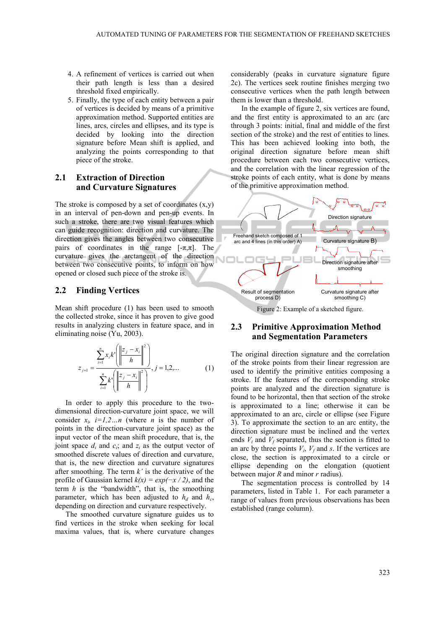- 4. A refinement of vertices is carried out when their path length is less than a desired threshold fixed empirically.
- 5. Finally, the type of each entity between a pair of vertices is decided by means of a primitive approximation method. Supported entities are lines, arcs, circles and ellipses, and its type is decided by looking into the direction signature before Mean shift is applied, and analyzing the points corresponding to that piece of the stroke.

#### **2.1 Extraction of Direction and Curvature Signatures**

The stroke is composed by a set of coordinates  $(x,y)$ in an interval of pen-down and pen-up events. In such a stroke, there are two visual features which can guide recognition: direction and curvature. The direction gives the angles between two consecutive pairs of coordinates in the range  $[-\pi,\pi]$ . The curvature gives the arctangent of the direction between two consecutive points, to inform on how opened or closed such piece of the stroke is.

#### **2.2 Finding Vertices**

Mean shift procedure (1) has been used to smooth the collected stroke, since it has proven to give good results in analyzing clusters in feature space, and in eliminating noise (Yu, 2003).

$$
z_{j+1} = \frac{\sum_{i=1}^{n} x_i k' \left( \left\| \frac{z_j - x_i}{h} \right\|^2 \right)}{\sum_{i=1}^{n} k' \left( \left\| \frac{z_j - x_i}{h} \right\|^2 \right)}, j = 1, 2, \dots
$$
 (1)

In order to apply this procedure to the twodimensional direction-curvature joint space, we will consider  $x_i$ ,  $i=1,2...n$  (where *n* is the number of points in the direction-curvature joint space) as the input vector of the mean shift procedure, that is, the joint space  $d_i$  and  $c_i$ ; and  $z_i$  as the output vector of smoothed discrete values of direction and curvature, that is, the new direction and curvature signatures after smoothing. The term *k'* is the derivative of the profile of Gaussian kernel  $k(x) = exp(-x/2)$ , and the term *h* is the "bandwidth", that is, the smoothing parameter, which has been adjusted to  $h_d$  and  $h_c$ , depending on direction and curvature respectively.

The smoothed curvature signature guides us to find vertices in the stroke when seeking for local maxima values, that is, where curvature changes

considerably (peaks in curvature signature figure 2c). The vertices seek routine finishes merging two consecutive vertices when the path length between them is lower than a threshold.

In the example of figure 2, six vertices are found, and the first entity is approximated to an arc (arc through 3 points: initial, final and middle of the first section of the stroke) and the rest of entities to lines. This has been achieved looking into both, the original direction signature before mean shift procedure between each two consecutive vertices, and the correlation with the linear regression of the stroke points of each entity, what is done by means of the primitive approximation method.



Figure 2: Example of a sketched figure.

#### **2.3 Primitive Approximation Method and Segmentation Parameters**

The original direction signature and the correlation of the stroke points from their linear regression are used to identify the primitive entities composing a stroke. If the features of the corresponding stroke points are analyzed and the direction signature is found to be horizontal, then that section of the stroke is approximated to a line; otherwise it can be approximated to an arc, circle or ellipse (see Figure 3). To approximate the section to an arc entity, the direction signature must be inclined and the vertex ends  $V_i$  and  $V_f$  separated, thus the section is fitted to an arc by three points  $V_i$ ,  $V_f$  and *s*. If the vertices are close, the section is approximated to a circle or ellipse depending on the elongation (quotient between major *R* and minor *r* radius).

The segmentation process is controlled by 14 parameters, listed in Table 1. For each parameter a range of values from previous observations has been established (range column).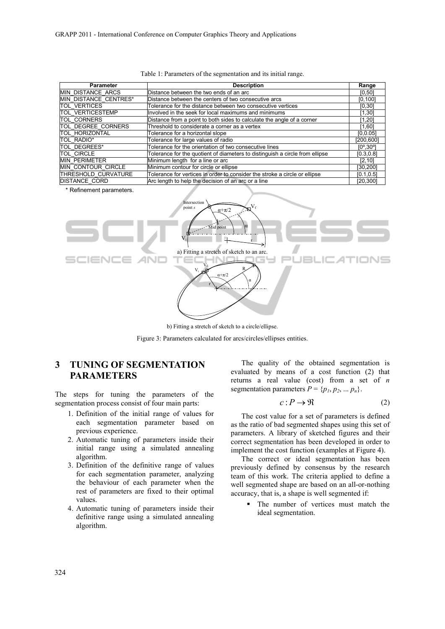| <b>Parameter</b>             | <b>Description</b>                                                           | Range                        |
|------------------------------|------------------------------------------------------------------------------|------------------------------|
| <b>MIN DISTANCE ARCS</b>     | Distance between the two ends of an arc                                      | [0, 50]                      |
| <b>MIN DISTANCE CENTRES*</b> | Distance between the centers of two consecutive arcs                         | [0, 100]                     |
| <b>TOL VERTICES</b>          | Tolerance for the distance between two consecutive vertices                  | [0, 30]                      |
| <b>TOL VERTICESTEMP</b>      | Involved in the seek for local maximums and minimums                         | [1, 30]                      |
| <b>TOL CORNERS</b>           | Distance from a point to both sides to calculate the angle of a corner       | [1, 20]                      |
| <b>TOL DEGREE CORNERS</b>    | Threshold to considerate a corner as a vertex                                | [1,60]                       |
| <b>TOL HORIZONTAL</b>        | Tolerance for a horizontal slope                                             | [0, 0.05]                    |
| TOL RADIO*                   | Tolerance for large values of radio                                          | [200, 600]                   |
| TOL DEGREES*                 | Tolerance for the orientation of two consecutive lines                       | $[0^{\circ}$ .30 $^{\circ}]$ |
| <b>TOL CIRCLE</b>            | Tolerance for the quotient of diameters to distinguish a circle from ellipse | [0.3, 0.8]                   |
| <b>MIN PERIMETER</b>         | Minimum length for a line or arc                                             | [2, 10]                      |
| <b>MIN CONTOUR CIRCLE</b>    | Minimum contour for circle or ellipse                                        | [30,200]                     |
| <b>THRESHOLD CURVATURE</b>   | Tolerance for vertices in order to consider the stroke a circle or ellipse   | [0.1, 0.5]                   |
| <b>DISTANCE CORD</b>         | Arc length to help the decision of an arc or a line                          | [20, 300]                    |

|  |  | Table 1: Parameters of the segmentation and its initial range. |  |  |
|--|--|----------------------------------------------------------------|--|--|
|  |  |                                                                |  |  |

\* Refinement parameters.







## **3 TUNING OF SEGMENTATION PARAMETERS**

The steps for tuning the parameters of the segmentation process consist of four main parts:

- 1. Definition of the initial range of values for each segmentation parameter based on previous experience.
- 2. Automatic tuning of parameters inside their initial range using a simulated annealing algorithm.
- 3. Definition of the definitive range of values for each segmentation parameter, analyzing the behaviour of each parameter when the rest of parameters are fixed to their optimal values.
- 4. Automatic tuning of parameters inside their definitive range using a simulated annealing algorithm.

The quality of the obtained segmentation is evaluated by means of a cost function (2) that returns a real value (cost) from a set of *n* segmentation parameters  $P = \{p_1, p_2, \dots p_n\}.$ 

$$
c: P \to \Re \tag{2}
$$

The cost value for a set of parameters is defined as the ratio of bad segmented shapes using this set of parameters. A library of sketched figures and their correct segmentation has been developed in order to implement the cost function (examples at Figure 4).

The correct or ideal segmentation has been previously defined by consensus by the research team of this work. The criteria applied to define a well segmented shape are based on an all-or-nothing accuracy, that is, a shape is well segmented if:

> The number of vertices must match the ideal segmentation.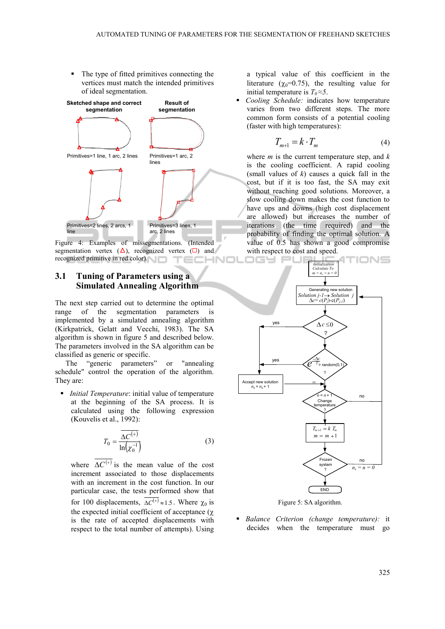The type of fitted primitives connecting the vertices must match the intended primitives of ideal segmentation.



Figure 4: Examples of missegmentations. (Intended segmentation vertex  $(\Delta)$ , recognized vertex  $(\Box)$  and recognized primitive in red color). HNOI ⊤∈⊏

### **3.1 Tuning of Parameters using a Simulated Annealing Algorithm**

The next step carried out to determine the optimal range of the segmentation parameters is implemented by a simulated annealing algorithm (Kirkpatrick, Gelatt and Vecchi, 1983). The SA algorithm is shown in figure 5 and described below. The parameters involved in the SA algorithm can be classified as generic or specific.

The "generic parameters" or "annealing schedule" control the operation of the algorithm. They are:

 *Initial Temperature*: initial value of temperature at the beginning of the SA process. It is calculated using the following expression (Kouvelis et al., 1992):

$$
T_0 = \frac{\overline{\Delta C^{(+)}}}{\ln(\chi_0^{-1})}
$$
 (3)

where  $\overline{\Delta C^{(+)}}$  is the mean value of the cost increment associated to those displacements with an increment in the cost function. In our particular case, the tests performed show that for 100 displacements,  $\overline{\Delta C^{(+)}} \approx 1.5$ . Where  $\chi_0$  is the expected initial coefficient of acceptance (χ is the rate of accepted displacements with respect to the total number of attempts). Using a typical value of this coefficient in the literature ( $\chi_0$ =0.75), the resulting value for initial temperature is  $T_0 \approx 5$ .

 *Cooling Schedule:* indicates how temperature varies from two different steps. The more common form consists of a potential cooling (faster with high temperatures):

$$
T_{m+1} = k \cdot T_m \tag{4}
$$

where *m* is the current temperature step, and *k* is the cooling coefficient. A rapid cooling (small values of *k*) causes a quick fall in the cost, but if it is too fast, the SA may exit without reaching good solutions. Moreover, a slow cooling down makes the cost function to have ups and downs (high cost displacement are allowed) but increases the number of iterations (the time required) and the probability of finding the optimal solution. A value of 0.5 has shown a good compromise with respect to cost and speed.



Figure 5: SA algorithm.

 *Balance Criterion (change temperature):* it decides when the temperature must go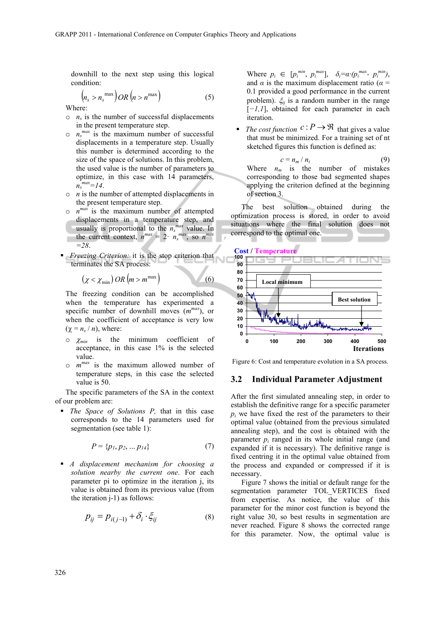downhill to the next step using this logical condition:

$$
\left(n_s > n_s^{\max}\right) OR \left(n > n^{\max}\right) \tag{5}
$$

Where:

- $\circ$  *n<sub>s</sub>* is the number of successful displacements in the present temperature step.
- $\circ$   $n_s$ <sup>*max*</sup> is the maximum number of successful displacements in a temperature step. Usually this number is determined according to the size of the space of solutions. In this problem, the used value is the number of parameters to optimize, in this case with 14 parameters,  $n_s^{\text{max}} = 14$ .
- $\circ$  *n* is the number of attempted displacements in the present temperature step.
- $\circ$  *n*<sup>*max*</sup> is the maximum number of attempted displacements in a temperature step, and usually is proportional to the  $n_s^{max}$  value. In the current context,  $n^{max} = 2 \cdot n_s^{max}$ , so  $n^{max}$ *=28*.
- *Freezing Criterion:* it is the stop criterion that terminates the SA process:

$$
\left(\chi < \chi_{\min}\right) \, OR \left(m > m^{\max}\right) \tag{6}
$$

The freezing condition can be accomplished when the temperature has experimented a specific number of downhill moves (*mmax*), or when the coefficient of acceptance is very low  $(\chi = n_s / n)$ , where:

- o <sup>χ</sup>*min* is the minimum coefficient of acceptance, in this case 1% is the selected value.
- o *mmax* is the maximum allowed number of temperature steps, in this case the selected value is 50.

The specific parameters of the SA in the context of our problem are:

 *The Space of Solutions P,* that in this case corresponds to the 14 parameters used for segmentation (see table 1):

$$
P = \{p_1, p_2, \dots p_{14}\}\tag{7}
$$

 *A displacement mechanism for choosing a solution nearby the current one*. For each parameter pi to optimize in the iteration j, its value is obtained from its previous value (from the iteration j-1) as follows:

$$
p_{ij} = p_{i(j-1)} + \delta_i \cdot \xi_{ij}
$$
 (8)

Where  $p_i \in [p_i^{min}, p_i^{max}]$ ,  $\delta_i = \alpha \cdot (p_i^{max} - p_i^{min})$ , and  $\alpha$  is the maximum displacement ratio ( $\alpha$  = 0.1 provided a good performance in the current problem). ξ*ij* is a random number in the range [*−1,1*], obtained for each parameter in each iteration.

*The cost function*  $c : P \to \mathbb{R}$  that gives a value that must be minimized. For a training set of nt sketched figures this function is defined as:

$$
c = n_m / n_t \tag{9}
$$

Where  $n_m$  is the number of mistakes corresponding to those bad segmented shapes applying the criterion defined at the beginning of section 3.

The best solution obtained during the optimization process is stored, in order to avoid situations where the final solution does not correspond to the optimal one.



Figure 6: Cost and temperature evolution in a SA process.

#### **3.2 Individual Parameter Adjustment**

After the first simulated annealing step, in order to establish the definitive range for a specific parameter  $p_i$  we have fixed the rest of the parameters to their optimal value (obtained from the previous simulated annealing step), and the cost is obtained with the parameter  $p_i$  ranged in its whole initial range (and expanded if it is necessary). The definitive range is fixed centring it in the optimal value obtained from the process and expanded or compressed if it is necessary.

Figure 7 shows the initial or default range for the segmentation parameter TOL\_VERTICES fixed from expertise. As notice, the value of this parameter for the minor cost function is beyond the right value 30, so best results in segmentation are never reached. Figure 8 shows the corrected range for this parameter. Now, the optimal value is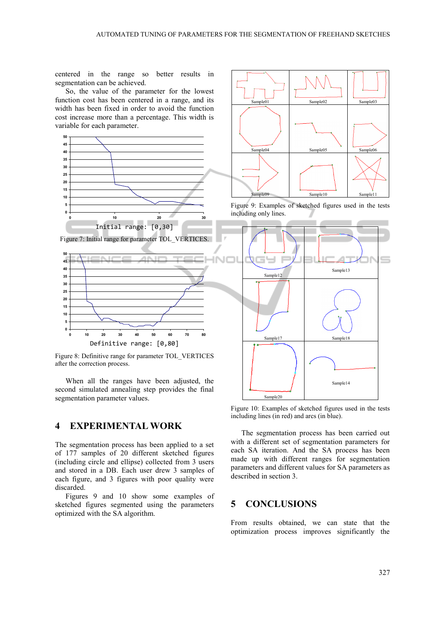centered in the range so better results in segmentation can be achieved.

So, the value of the parameter for the lowest function cost has been centered in a range, and its width has been fixed in order to avoid the function cost increase more than a percentage. This width is variable for each parameter.



Figure 8: Definitive range for parameter TOL\_VERTICES after the correction process.

When all the ranges have been adjusted, the second simulated annealing step provides the final segmentation parameter values.

#### **4 EXPERIMENTAL WORK**

The segmentation process has been applied to a set of 177 samples of 20 different sketched figures (including circle and ellipse) collected from 3 users and stored in a DB. Each user drew 3 samples of each figure, and 3 figures with poor quality were discarded.

Figures 9 and 10 show some examples of sketched figures segmented using the parameters optimized with the SA algorithm.



Figure 9: Examples of sketched figures used in the tests including only lines.



Figure 10: Examples of sketched figures used in the tests including lines (in red) and arcs (in blue).

The segmentation process has been carried out with a different set of segmentation parameters for each SA iteration. And the SA process has been made up with different ranges for segmentation parameters and different values for SA parameters as described in section 3.

## **5 CONCLUSIONS**

From results obtained, we can state that the optimization process improves significantly the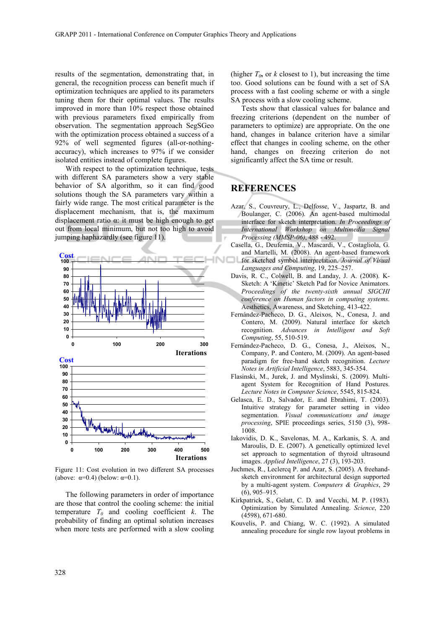results of the segmentation, demonstrating that, in general, the recognition process can benefit much if optimization techniques are applied to its parameters tuning them for their optimal values. The results improved in more than 10% respect those obtained with previous parameters fixed empirically from observation. The segmentation approach SegSGeo with the optimization process obtained a success of a 92% of well segmented figures (all-or-nothingaccuracy), which increases to 97% if we consider isolated entities instead of complete figures.

With respect to the optimization technique, tests with different SA parameters show a very stable behavior of SA algorithm, so it can find good solutions though the SA parameters vary within a fairly wide range. The most critical parameter is the displacement mechanism, that is, the maximum displacement ratio  $\alpha$ : it must be high enough to get out from local minimum, but not too high to avoid jumping haphazardly (see figure 11).



Figure 11: Cost evolution in two different SA processes (above:  $\alpha=0.4$ ) (below:  $\alpha=0.1$ ).

The following parameters in order of importance are those that control the cooling scheme: the initial temperature  $T_0$  and cooling coefficient  $k$ . The probability of finding an optimal solution increases when more tests are performed with a slow cooling

(higher  $T_0$ , or *k* closest to 1), but increasing the time too. Good solutions can be found with a set of SA process with a fast cooling scheme or with a single SA process with a slow cooling scheme.

Tests show that classical values for balance and freezing criterions (dependent on the number of parameters to optimize) are appropriate. On the one hand, changes in balance criterion have a similar effect that changes in cooling scheme, on the other hand, changes on freezing criterion do not significantly affect the SA time or result.

## **REFERENCES**

- Azar, S., Couvreury, L., Delfosse, V., Jaspartz, B. and Boulanger, C. (2006). An agent-based multimodal interface for sketch interpretation. *In Proceedings of International Workshop on Multimedia Signal Processing (MMSP-06)*, 488 - 492.
- sella, G., Deufemia, V., Mascardi, V., Costagliola, G. and Martelli, M. (2008). An agent-based framework for sketched symbol interpretation. *Journal of Visual Languages and Computing*, 19, 225–257.
- Davis, R. C., Colwell, B. and Landay, J. A. (2008). K-Sketch: A 'Kinetic' Sketch Pad for Novice Animators. *Proceedings of the twenty-sixth annual SIGCHI conference on Human factors in computing systems*. Aesthetics, Awareness, and Sketching, 413-422.
- Fernández-Pacheco, D. G., Aleixos, N., Conesa, J. and Contero, M. (2009). Natural interface for sketch recognition. *Advances in Intelligent and Soft Computing*, 55, 510-519.
- Fernández-Pacheco, D. G., Conesa, J., Aleixos, N., Company, P. and Contero, M. (2009). An agent-based paradigm for free-hand sketch recognition. *Lecture Notes in Artificial Intelligence*, 5883, 345-354.
- Flasinski, M., Jurek, J. and Myslinski, S. (2009). Multiagent System for Recognition of Hand Postures. *Lecture Notes in Computer Science*, 5545, 815-824.
- Gelasca, E. D., Salvador, E. and Ebrahimi, T. (2003). Intuitive strategy for parameter setting in video segmentation. *Visual communications and image processing*, SPIE proceedings series, 5150 (3), 998- 1008.
- Iakovidis, D. K., Savelonas, M. A., Karkanis, S. A. and Maroulis, D. E. (2007). A genetically optimized level set approach to segmentation of thyroid ultrasound images. *Applied Intelligence*, 27 (3), 193-203.
- Juchmes, R., Leclercq P. and Azar, S. (2005). A freehandsketch environment for architectural design supported by a multi-agent system. *Computers & Graphics*, 29 (6), 905–915.
- Kirkpatrick, S., Gelatt, C. D. and Vecchi, M. P. (1983). Optimization by Simulated Annealing. *Science*, 220 (4598), 671-680.
- Kouvelis, P. and Chiang, W. C. (1992). A simulated annealing procedure for single row layout problems in